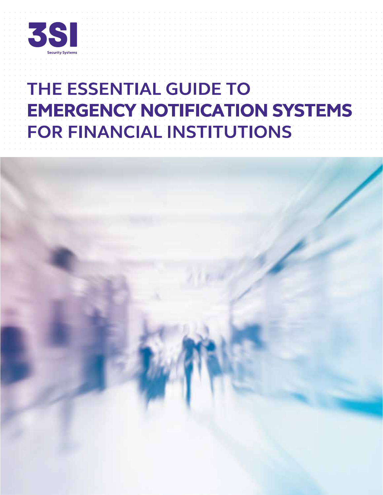

# THE ESSENTIAL GUIDE TO **EMERGENCY NOTIFICATION SYSTEMS** FOR FINANCIAL INSTITUTIONS

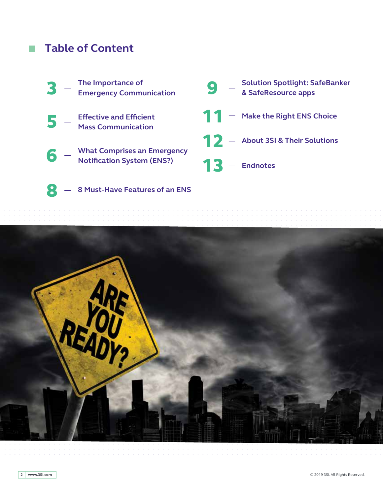# **Table of Content**



### 8 - 8 Must-Have Features of an ENS

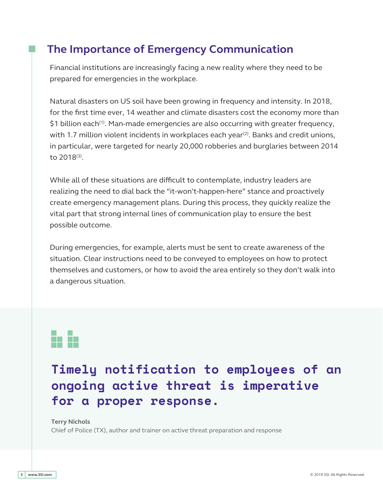# **The Importance of Emergency Communication**

Financial institutions are increasingly facing a new reality where they need to be prepared for emergencies in the workplace.

Natural disasters on US soil have been growing in frequency and intensity. In 2018, for the first time ever, 14 weather and climate disasters cost the economy more than  $$1$  billion each<sup>(1)</sup>. Man-made emergencies are also occurring with greater frequency, with 1.7 million violent incidents in workplaces each year<sup>(2)</sup>. Banks and credit unions, in particular, were targeted for nearly 20,000 robberies and burglaries between 2014 to 2018(3).

While all of these situations are difficult to contemplate, industry leaders are realizing the need to dial back the "it-won't-happen-here" stance and proactively create emergency management plans. During this process, they quickly realize the vital part that strong internal lines of communication play to ensure the best possible outcome.

During emergencies, for example, alerts must be sent to create awareness of the situation. Clear instructions need to be conveyed to employees on how to protect themselves and customers, or how to avoid the area entirely so they don't walk into a dangerous situation.

# i. h

# **Timely notif ication to employees of an ongoing active threat is imperative for a proper response.**

**Terry Nichols**

Chief of Police (TX), author and trainer on active threat preparation and response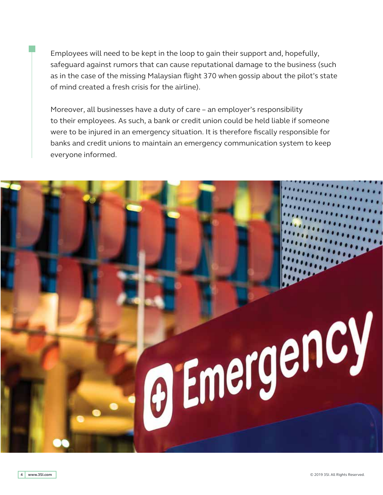Employees will need to be kept in the loop to gain their support and, hopefully, safeguard against rumors that can cause reputational damage to the business (such as in the case of the missing Malaysian flight 370 when gossip about the pilot's state of mind created a fresh crisis for the airline).

Moreover, all businesses have a duty of care – an employer's responsibility to their employees. As such, a bank or credit union could be held liable if someone were to be injured in an emergency situation. It is therefore fiscally responsible for banks and credit unions to maintain an emergency communication system to keep everyone informed.

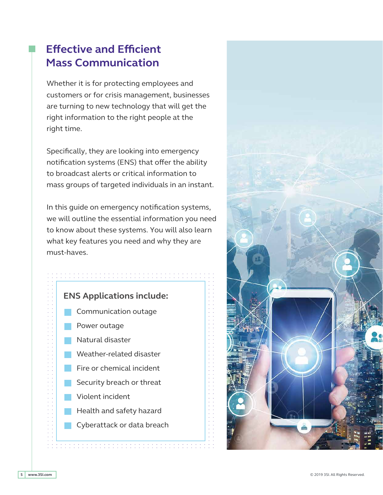# **Effective and Efficient Mass Communication**

Whether it is for protecting employees and customers or for crisis management, businesses are turning to new technology that will get the right information to the right people at the right time.

Specifically, they are looking into emergency notification systems (ENS) that offer the ability to broadcast alerts or critical information to mass groups of targeted individuals in an instant.

In this guide on emergency notification systems, we will outline the essential information you need to know about these systems. You will also learn what key features you need and why they are must-haves.



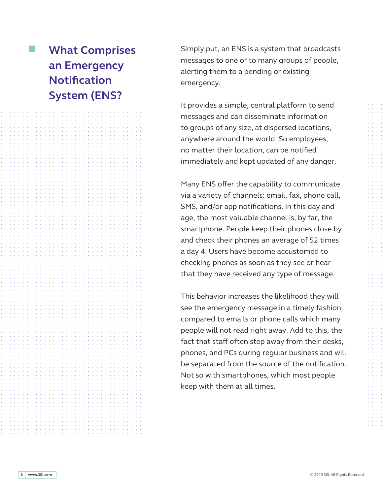# **What Comprises an Emergency Notification System (ENS?**

Simply put, an ENS is a system that broadcasts messages to one or to many groups of people, alerting them to a pending or existing emergency.

It provides a simple, central platform to send messages and can disseminate information to groups of any size, at dispersed locations, anywhere around the world. So employees, no matter their location, can be notified immediately and kept updated of any danger.

Many ENS offer the capability to communicate via a variety of channels: email, fax, phone call, SMS, and/or app notifications. In this day and age, the most valuable channel is, by far, the smartphone. People keep their phones close by and check their phones an average of 52 times a day 4. Users have become accustomed to checking phones as soon as they see or hear that they have received any type of message.

This behavior increases the likelihood they will see the emergency message in a timely fashion, compared to emails or phone calls which many people will not read right away. Add to this, the fact that staff often step away from their desks, phones, and PCs during regular business and will be separated from the source of the notification. Not so with smartphones, which most people keep with them at all times.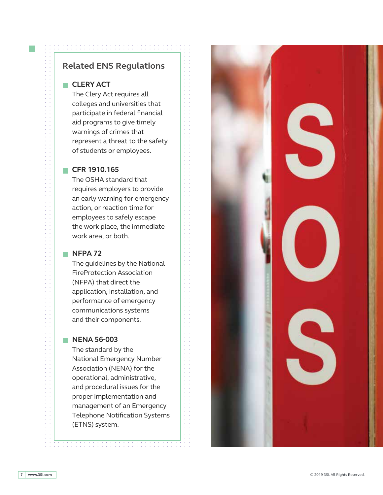### **Related ENS Regulations**

### **CLERY ACT**

The Clery Act requires all colleges and universities that participate in federal financial aid programs to give timely warnings of crimes that represent a threat to the safety of students or employees.

### **CFR 1910.165**

The OSHA standard that requires employers to provide an early warning for emergency action, or reaction time for employees to safely escape the work place, the immediate work area, or both.

### **NFPA 72**

The guidelines by the National FireProtection Association (NFPA) that direct the application, installation, and performance of emergency communications systems and their components.

### **NENA 56-003**

The standard by the National Emergency Number Association (NENA) for the operational, administrative, and procedural issues for the proper implementation and management of an Emergency Telephone Notification Systems (ETNS) system.

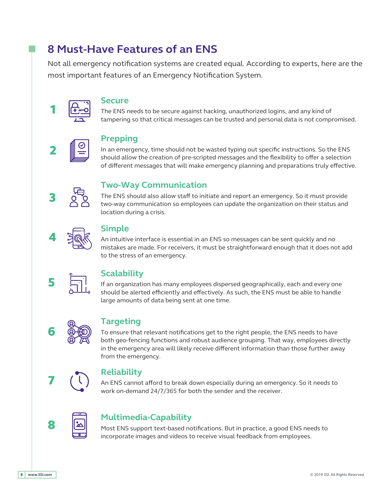# **8 Must-Have Features of an ENS**

Not all emergency notification systems are created equal. According to experts, here are the most important features of an Emergency Notification System.



### **Secure**

The ENS needs to be secure against hacking, unauthorized logins, and any kind of tampering so that critical messages can be trusted and personal data is not compromised.



### **Prepping**

In an emergency, time should not be wasted typing out specific instructions. So the ENS should allow the creation of pre-scripted messages and the flexibility to offer a selection of different messages that will make emergency planning and preparations truly effective.



### **Two-Way Communication**

The ENS should also allow staff to initiate and report an emergency. So it must provide two-way communication so employees can update the organization on their status and location during a crisis.



### <sup>4</sup> **Simple**

An intuitive interface is essential in an ENS so messages can be sent quickly and no mistakes are made. For receivers, it must be straightforward enough that it does not add to the stress of an emergency.



If an organization has many employees dispersed geographically, each and every one should be alerted efficiently and effectively. As such, the ENS must be able to handle large amounts of data being sent at one time.



### **Targeting**

To ensure that relevant notifications get to the right people, the ENS needs to have both geo-fencing functions and robust audience grouping. That way, employees directly in the emergency area will likely receive different information than those further away from the emergency.



**7 Reliability**<br> **An ENS cannot afford to break down especially during an emergency. So it needs to** work on-demand 24/7/365 for both the sender and the receiver.



# **8 Multimedia-Capability**

Most ENS support text-based notifications. But in practice, a good ENS needs to incorporate images and videos to receive visual feedback from employees.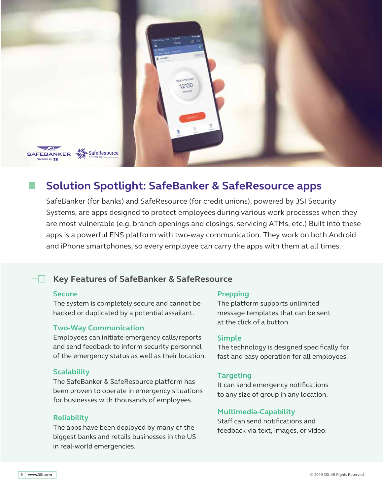

# **Solution Spotlight: SafeBanker & SafeResource apps**

SafeBanker (for banks) and SafeResource (for credit unions), powered by 3SI Security Systems, are apps designed to protect employees during various work processes when they are most vulnerable (e.g. branch openings and closings, servicing ATMs, etc.) Built into these apps is a powerful ENS platform with two-way communication. They work on both Android and iPhone smartphones, so every employee can carry the apps with them at all times.

### **Key Features of SafeBanker & SafeResource**

### **Secure**

The system is completely secure and cannot be hacked or duplicated by a potential assailant.

### **Two-Way Communication**

Employees can initiate emergency calls/reports and send feedback to inform security personnel of the emergency status as well as their location.

### **Scalability**

The SafeBanker & SafeResource platform has been proven to operate in emergency situations for businesses with thousands of employees.

### **Reliability**

The apps have been deployed by many of the biggest banks and retails businesses in the US in real-world emergencies.

### **Prepping**

The platform supports unlimited message templates that can be sent at the click of a button.

### **Simple**

The technology is designed specifically for fast and easy operation for all employees.

### **Targeting**

It can send emergency notifications to any size of group in any location.

### **Multimedia-Capability**

Staff can send notifications and feedback via text, images, or video.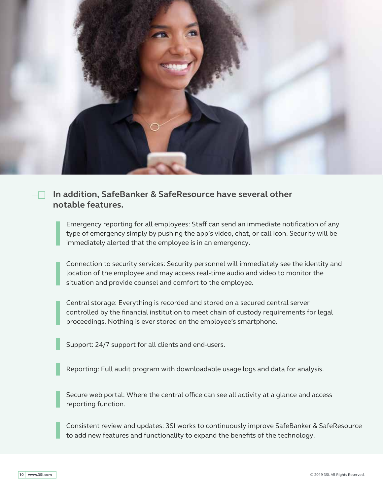

### **In addition, SafeBanker & SafeResource have several other notable features.**

Emergency reporting for all employees: Staff can send an immediate notification of any type of emergency simply by pushing the app's video, chat, or call icon. Security will be immediately alerted that the employee is in an emergency.

Connection to security services: Security personnel will immediately see the identity and location of the employee and may access real-time audio and video to monitor the situation and provide counsel and comfort to the employee.

Central storage: Everything is recorded and stored on a secured central server controlled by the financial institution to meet chain of custody requirements for legal proceedings. Nothing is ever stored on the employee's smartphone.

Support: 24/7 support for all clients and end-users.

Reporting: Full audit program with downloadable usage logs and data for analysis.

Secure web portal: Where the central office can see all activity at a glance and access reporting function.

Consistent review and updates: 3SI works to continuously improve SafeBanker & SafeResource to add new features and functionality to expand the benefits of the technology.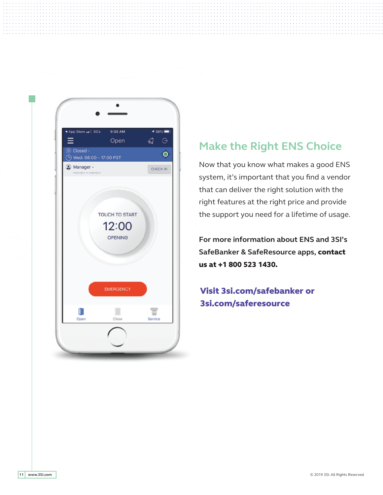

# **Make the Right ENS Choice**

Now that you know what makes a good ENS system, it's important that you find a vendor that can deliver the right solution with the right features at the right price and provide the support you need for a lifetime of usage.

**For more information about ENS and 3SI's SafeBanker & SafeResource apps,** contact us at +1 800 523 1430.

Visit 3si.com/safebanker or 3si.com/saferesource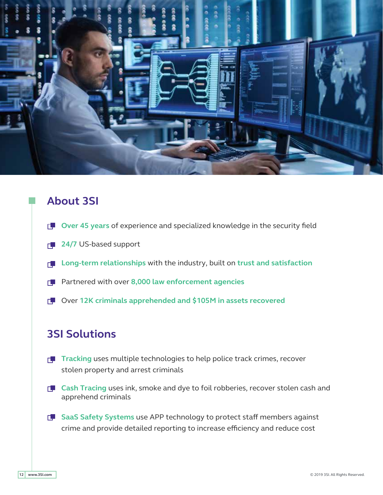

# **About 3SI**

- **D** Over 45 years of experience and specialized knowledge in the security field
- **1 24/7** US-based support
- **Long-term relationships** with the industry, built on **trust and satisfaction**
- Partnered with over **8,000 law enforcement agencies**
- Over **12K criminals apprehended and \$105M in assets recovered**

## **3SI Solutions**

- **T** Tracking uses multiple technologies to help police track crimes, recover stolen property and arrest criminals
- **Cash Tracing** uses ink, smoke and dye to foil robberies, recover stolen cash and apprehend criminals
- **F** SaaS Safety Systems use APP technology to protect staff members against crime and provide detailed reporting to increase efficiency and reduce cost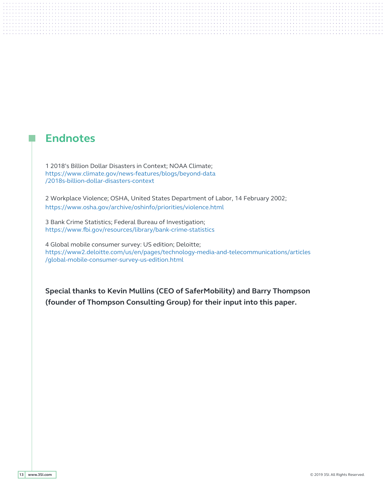## **Endnotes**

1 2018's Billion Dollar Disasters in Context; NOAA Climate; https://www.climate.gov/news-features/blogs/beyond-data /2018s-billion-dollar-disasters-context

2 Workplace Violence; OSHA, United States Department of Labor, 14 February 2002; https://www.osha.gov/archive/oshinfo/priorities/violence.html

3 Bank Crime Statistics; Federal Bureau of Investigation; https://www.fbi.gov/resources/library/bank-crime-statistics

4 Global mobile consumer survey: US edition; Deloitte; https://www2.deloitte.com/us/en/pages/technology-media-and-telecommunications/articles /global-mobile-consumer-survey-us-edition.html

**Special thanks to Kevin Mullins (CEO of SaferMobility) and Barry Thompson (founder of Thompson Consulting Group) for their input into this paper.**